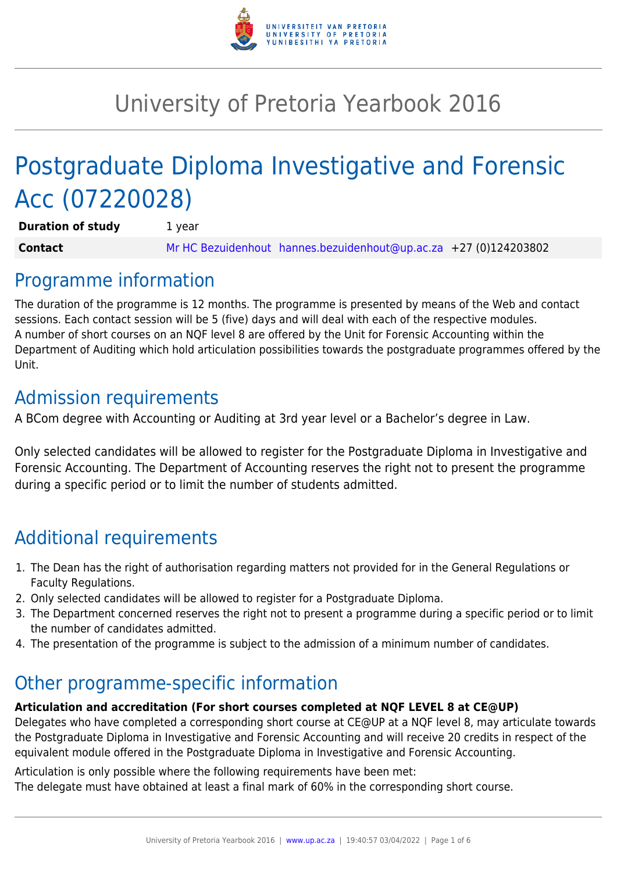

# University of Pretoria Yearbook 2016

# Postgraduate Diploma Investigative and Forensic Acc (07220028)

**Duration of study** 1 year **Contact** [Mr HC Bezuidenhout](mailto:hannes.bezuidenhout@up.ac.za) [hannes.bezuidenhout@up.ac.za](mailto:hannes.bezuidenhout@up.ac.za) +27 (0)124203802

## Programme information

The duration of the programme is 12 months. The programme is presented by means of the Web and contact sessions. Each contact session will be 5 (five) days and will deal with each of the respective modules. A number of short courses on an NQF level 8 are offered by the Unit for Forensic Accounting within the Department of Auditing which hold articulation possibilities towards the postgraduate programmes offered by the Unit.

## Admission requirements

A BCom degree with Accounting or Auditing at 3rd year level or a Bachelor's degree in Law.

Only selected candidates will be allowed to register for the Postgraduate Diploma in Investigative and Forensic Accounting. The Department of Accounting reserves the right not to present the programme during a specific period or to limit the number of students admitted.

## Additional requirements

- 1. The Dean has the right of authorisation regarding matters not provided for in the General Regulations or Faculty Regulations.
- 2. Only selected candidates will be allowed to register for a Postgraduate Diploma.
- 3. The Department concerned reserves the right not to present a programme during a specific period or to limit the number of candidates admitted.
- 4. The presentation of the programme is subject to the admission of a minimum number of candidates.

## Other programme-specific information

## **Articulation and accreditation (For short courses completed at NQF LEVEL 8 at CE@UP)**

Delegates who have completed a corresponding short course at CE@UP at a NQF level 8, may articulate towards the Postgraduate Diploma in Investigative and Forensic Accounting and will receive 20 credits in respect of the equivalent module offered in the Postgraduate Diploma in Investigative and Forensic Accounting.

Articulation is only possible where the following requirements have been met: The delegate must have obtained at least a final mark of 60% in the corresponding short course.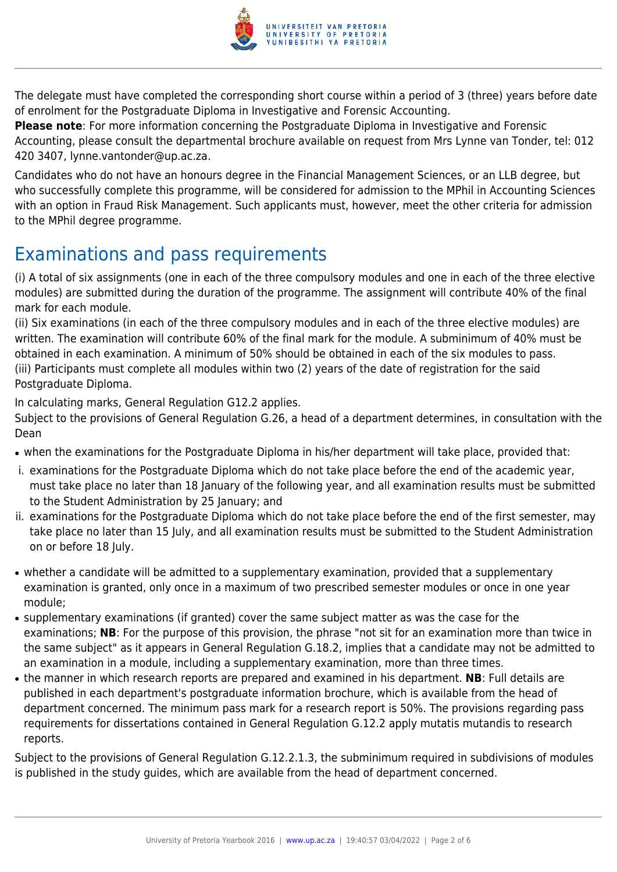

The delegate must have completed the corresponding short course within a period of 3 (three) years before date of enrolment for the Postgraduate Diploma in Investigative and Forensic Accounting.

**Please note**: For more information concerning the Postgraduate Diploma in Investigative and Forensic Accounting, please consult the departmental brochure available on request from Mrs Lynne van Tonder, tel: 012 420 3407, lynne.vantonder@up.ac.za.

Candidates who do not have an honours degree in the Financial Management Sciences, or an LLB degree, but who successfully complete this programme, will be considered for admission to the MPhil in Accounting Sciences with an option in Fraud Risk Management. Such applicants must, however, meet the other criteria for admission to the MPhil degree programme.

## Examinations and pass requirements

(i) A total of six assignments (one in each of the three compulsory modules and one in each of the three elective modules) are submitted during the duration of the programme. The assignment will contribute 40% of the final mark for each module.

(ii) Six examinations (in each of the three compulsory modules and in each of the three elective modules) are written. The examination will contribute 60% of the final mark for the module. A subminimum of 40% must be obtained in each examination. A minimum of 50% should be obtained in each of the six modules to pass. (iii) Participants must complete all modules within two (2) years of the date of registration for the said Postgraduate Diploma.

In calculating marks, General Regulation G12.2 applies.

Subject to the provisions of General Regulation G.26, a head of a department determines, in consultation with the Dean

- when the examinations for the Postgraduate Diploma in his/her department will take place, provided that:
- i. examinations for the Postgraduate Diploma which do not take place before the end of the academic year, must take place no later than 18 January of the following year, and all examination results must be submitted to the Student Administration by 25 January; and
- ii. examinations for the Postgraduate Diploma which do not take place before the end of the first semester, may take place no later than 15 July, and all examination results must be submitted to the Student Administration on or before 18 July.
- whether a candidate will be admitted to a supplementary examination, provided that a supplementary examination is granted, only once in a maximum of two prescribed semester modules or once in one year module;
- supplementary examinations (if granted) cover the same subject matter as was the case for the examinations; **NB**: For the purpose of this provision, the phrase "not sit for an examination more than twice in the same subject" as it appears in General Regulation G.18.2, implies that a candidate may not be admitted to an examination in a module, including a supplementary examination, more than three times.
- the manner in which research reports are prepared and examined in his department. **NB**: Full details are published in each department's postgraduate information brochure, which is available from the head of department concerned. The minimum pass mark for a research report is 50%. The provisions regarding pass requirements for dissertations contained in General Regulation G.12.2 apply mutatis mutandis to research reports.

Subject to the provisions of General Regulation G.12.2.1.3, the subminimum required in subdivisions of modules is published in the study guides, which are available from the head of department concerned.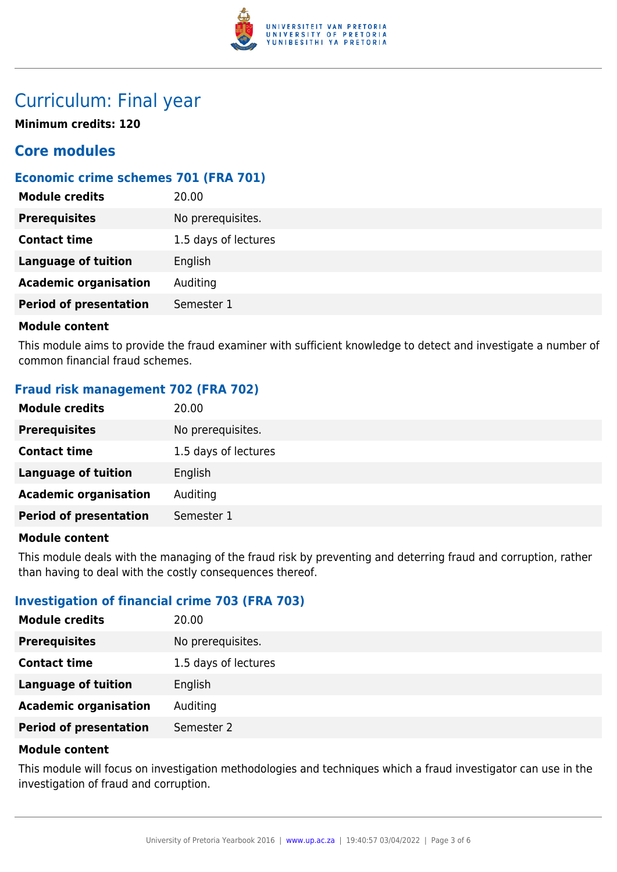

## Curriculum: Final year

**Minimum credits: 120**

## **Core modules**

## **Economic crime schemes 701 (FRA 701)**

| <b>Module credits</b>         | 20.00                |
|-------------------------------|----------------------|
| <b>Prerequisites</b>          | No prerequisites.    |
| <b>Contact time</b>           | 1.5 days of lectures |
| <b>Language of tuition</b>    | English              |
| <b>Academic organisation</b>  | Auditing             |
| <b>Period of presentation</b> | Semester 1           |
|                               |                      |

### **Module content**

This module aims to provide the fraud examiner with sufficient knowledge to detect and investigate a number of common financial fraud schemes.

## **Fraud risk management 702 (FRA 702)**

| <b>Module credits</b>         | 20.00                |
|-------------------------------|----------------------|
| <b>Prerequisites</b>          | No prerequisites.    |
| <b>Contact time</b>           | 1.5 days of lectures |
| <b>Language of tuition</b>    | English              |
| <b>Academic organisation</b>  | Auditing             |
| <b>Period of presentation</b> | Semester 1           |

## **Module content**

This module deals with the managing of the fraud risk by preventing and deterring fraud and corruption, rather than having to deal with the costly consequences thereof.

## **Investigation of financial crime 703 (FRA 703)**

| <b>Module credits</b>         | 20.00                |
|-------------------------------|----------------------|
| <b>Prerequisites</b>          | No prerequisites.    |
| <b>Contact time</b>           | 1.5 days of lectures |
| <b>Language of tuition</b>    | English              |
| <b>Academic organisation</b>  | Auditing             |
| <b>Period of presentation</b> | Semester 2           |

### **Module content**

This module will focus on investigation methodologies and techniques which a fraud investigator can use in the investigation of fraud and corruption.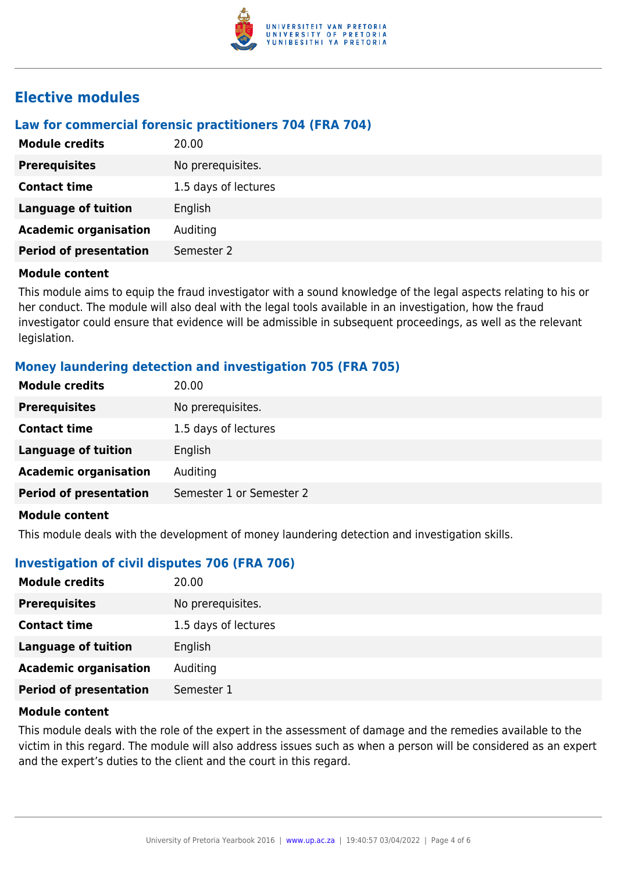

## **Elective modules**

## **Law for commercial forensic practitioners 704 (FRA 704)**

| <b>Module credits</b>         | 20.00                |
|-------------------------------|----------------------|
| <b>Prerequisites</b>          | No prerequisites.    |
| <b>Contact time</b>           | 1.5 days of lectures |
| <b>Language of tuition</b>    | English              |
| <b>Academic organisation</b>  | Auditing             |
| <b>Period of presentation</b> | Semester 2           |

### **Module content**

This module aims to equip the fraud investigator with a sound knowledge of the legal aspects relating to his or her conduct. The module will also deal with the legal tools available in an investigation, how the fraud investigator could ensure that evidence will be admissible in subsequent proceedings, as well as the relevant legislation.

## **Money laundering detection and investigation 705 (FRA 705)**

| <b>Module credits</b>         | 20.00                    |
|-------------------------------|--------------------------|
| <b>Prerequisites</b>          | No prerequisites.        |
| <b>Contact time</b>           | 1.5 days of lectures     |
| <b>Language of tuition</b>    | English                  |
| <b>Academic organisation</b>  | Auditing                 |
| <b>Period of presentation</b> | Semester 1 or Semester 2 |
| <b>Module content</b>         |                          |

This module deals with the development of money laundering detection and investigation skills.

## **Investigation of civil disputes 706 (FRA 706)**

| 20.00                |
|----------------------|
| No prerequisites.    |
| 1.5 days of lectures |
| English              |
| Auditing             |
| Semester 1           |
|                      |

### **Module content**

This module deals with the role of the expert in the assessment of damage and the remedies available to the victim in this regard. The module will also address issues such as when a person will be considered as an expert and the expert's duties to the client and the court in this regard.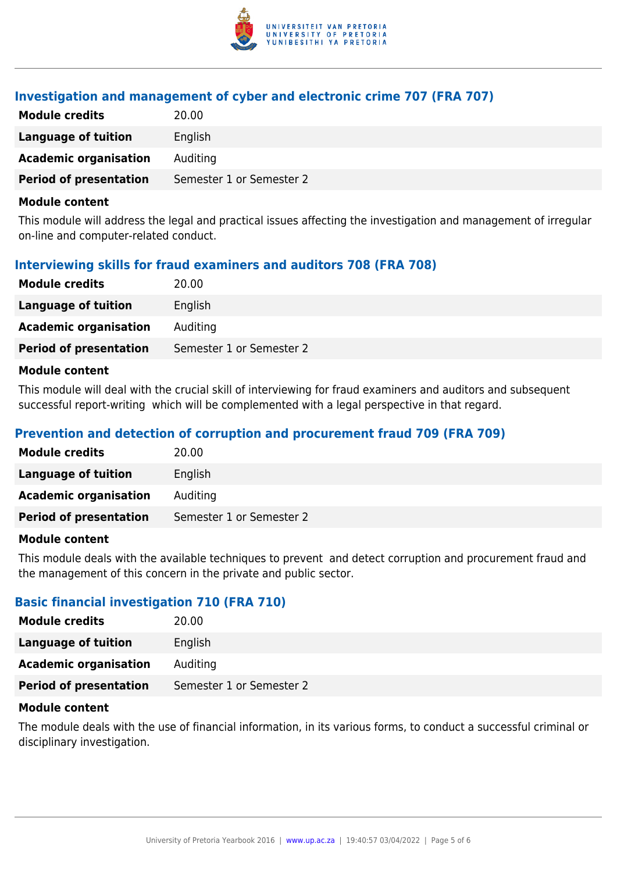

## **Investigation and management of cyber and electronic crime 707 (FRA 707)**

| <b>Module credits</b>         | 20.00                    |
|-------------------------------|--------------------------|
| Language of tuition           | English                  |
| <b>Academic organisation</b>  | Auditing                 |
| <b>Period of presentation</b> | Semester 1 or Semester 2 |

#### **Module content**

This module will address the legal and practical issues affecting the investigation and management of irregular on-line and computer-related conduct.

## **Interviewing skills for fraud examiners and auditors 708 (FRA 708)**

| <b>Module credits</b>         | 20.00                    |
|-------------------------------|--------------------------|
| <b>Language of tuition</b>    | English                  |
| <b>Academic organisation</b>  | Auditing                 |
| <b>Period of presentation</b> | Semester 1 or Semester 2 |
|                               |                          |

### **Module content**

This module will deal with the crucial skill of interviewing for fraud examiners and auditors and subsequent successful report-writing which will be complemented with a legal perspective in that regard.

## **Prevention and detection of corruption and procurement fraud 709 (FRA 709)**

| <b>Module credits</b>         | 20.00                    |
|-------------------------------|--------------------------|
| Language of tuition           | English                  |
| <b>Academic organisation</b>  | Auditing                 |
| <b>Period of presentation</b> | Semester 1 or Semester 2 |
|                               |                          |

### **Module content**

This module deals with the available techniques to prevent and detect corruption and procurement fraud and the management of this concern in the private and public sector.

## **Basic financial investigation 710 (FRA 710)**

| <b>Module credits</b>         | 20.00                    |
|-------------------------------|--------------------------|
| Language of tuition           | English                  |
| <b>Academic organisation</b>  | Auditing                 |
| <b>Period of presentation</b> | Semester 1 or Semester 2 |

### **Module content**

The module deals with the use of financial information, in its various forms, to conduct a successful criminal or disciplinary investigation.